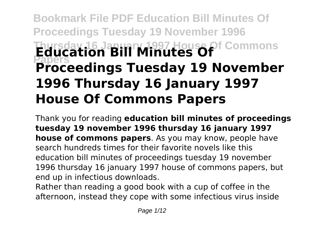# **Bookmark File PDF Education Bill Minutes Of Proceedings Tuesday 19 November 1996 Thursday 16 January 1997 House Of Commons Papers Education Bill Minutes Of Proceedings Tuesday 19 November 1996 Thursday 16 January 1997 House Of Commons Papers**

Thank you for reading **education bill minutes of proceedings tuesday 19 november 1996 thursday 16 january 1997 house of commons papers**. As you may know, people have search hundreds times for their favorite novels like this education bill minutes of proceedings tuesday 19 november 1996 thursday 16 january 1997 house of commons papers, but end up in infectious downloads.

Rather than reading a good book with a cup of coffee in the afternoon, instead they cope with some infectious virus inside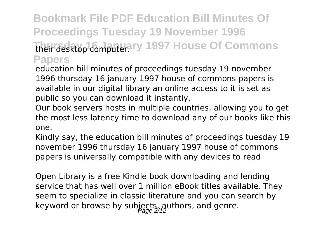## **Bookmark File PDF Education Bill Minutes Of Proceedings Tuesday 19 November 1996** their desktop computer. Ty 1997 House Of Commons **Papers**

education bill minutes of proceedings tuesday 19 november 1996 thursday 16 january 1997 house of commons papers is available in our digital library an online access to it is set as public so you can download it instantly.

Our book servers hosts in multiple countries, allowing you to get the most less latency time to download any of our books like this one.

Kindly say, the education bill minutes of proceedings tuesday 19 november 1996 thursday 16 january 1997 house of commons papers is universally compatible with any devices to read

Open Library is a free Kindle book downloading and lending service that has well over 1 million eBook titles available. They seem to specialize in classic literature and you can search by keyword or browse by subjects, authors, and genre.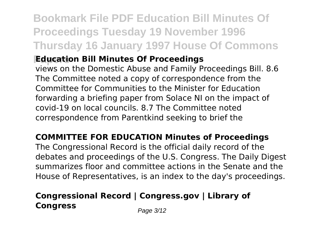## **Bookmark File PDF Education Bill Minutes Of Proceedings Tuesday 19 November 1996 Thursday 16 January 1997 House Of Commons**

### *<u>Education Bill Minutes Of Proceedings</u>*

views on the Domestic Abuse and Family Proceedings Bill. 8.6 The Committee noted a copy of correspondence from the Committee for Communities to the Minister for Education forwarding a briefing paper from Solace NI on the impact of covid-19 on local councils. 8.7 The Committee noted correspondence from Parentkind seeking to brief the

### **COMMITTEE FOR EDUCATION Minutes of Proceedings**

The Congressional Record is the official daily record of the debates and proceedings of the U.S. Congress. The Daily Digest summarizes floor and committee actions in the Senate and the House of Representatives, is an index to the day's proceedings.

### **Congressional Record | Congress.gov | Library of Congress** Page 3/12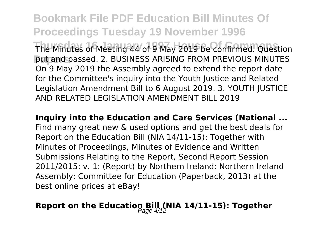**Bookmark File PDF Education Bill Minutes Of Proceedings Tuesday 19 November 1996** The Minutes of Meeting 44 of 9 May 2019 be confirmed. Question put and passed. 2. BUSINESS ARISING FROM PREVIOUS MINUTES On 9 May 2019 the Assembly agreed to extend the report date for the Committee's inquiry into the Youth Justice and Related Legislation Amendment Bill to 6 August 2019. 3. YOUTH JUSTICE AND RELATED LEGISLATION AMENDMENT BILL 2019

**Inquiry into the Education and Care Services (National ...** Find many great new & used options and get the best deals for Report on the Education Bill (NIA 14/11-15): Together with Minutes of Proceedings, Minutes of Evidence and Written Submissions Relating to the Report, Second Report Session 2011/2015: v. 1: (Report) by Northern Ireland: Northern Ireland Assembly: Committee for Education (Paperback, 2013) at the best online prices at eBay!

## **Report on the Education Bill (NIA 14/11-15): Together**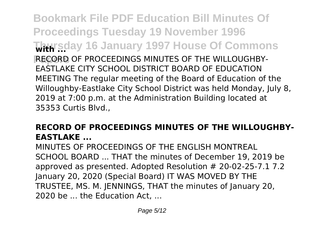**Bookmark File PDF Education Bill Minutes Of Proceedings Tuesday 19 November 1996 Thursday 16 January 1997 House Of Commons with ...** RECORD OF PROCEEDINGS MINUTES OF THE WILLOUGHBY-EASTLAKE CITY SCHOOL DISTRICT BOARD OF EDUCATION MEETING The regular meeting of the Board of Education of the Willoughby-Eastlake City School District was held Monday, July 8, 2019 at 7:00 p.m. at the Administration Building located at 35353 Curtis Blvd.,

### **RECORD OF PROCEEDINGS MINUTES OF THE WILLOUGHBY-EASTLAKE ...**

MINUTES OF PROCEEDINGS OF THE ENGLISH MONTREAL SCHOOL BOARD ... THAT the minutes of December 19, 2019 be approved as presented. Adopted Resolution # 20-02-25-7.1 7.2 January 20, 2020 (Special Board) IT WAS MOVED BY THE TRUSTEE, MS. M. JENNINGS, THAT the minutes of January 20, 2020 be ... the Education Act, ...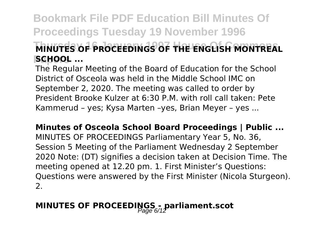## **Bookmark File PDF Education Bill Minutes Of Proceedings Tuesday 19 November 1996 MINUTES OF PROCEEDINGS OF THE ENGLISH MONTREAL Papers SCHOOL ...**

The Regular Meeting of the Board of Education for the School District of Osceola was held in the Middle School IMC on September 2, 2020. The meeting was called to order by President Brooke Kulzer at 6:30 P.M. with roll call taken: Pete Kammerud – yes; Kysa Marten –yes, Brian Meyer – yes ...

**Minutes of Osceola School Board Proceedings | Public ...** MINUTES OF PROCEEDINGS Parliamentary Year 5, No. 36, Session 5 Meeting of the Parliament Wednesday 2 September 2020 Note: (DT) signifies a decision taken at Decision Time. The meeting opened at 12.20 pm. 1. First Minister's Questions: Questions were answered by the First Minister (Nicola Sturgeon). 2.

## **MINUTES OF PROCEEDINGS - parliament.scot**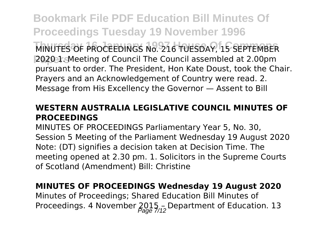**Bookmark File PDF Education Bill Minutes Of Proceedings Tuesday 19 November 1996** MINUTES OF PROCEEDINGS No. 216 TUESDAY, 15 SEPTEMBER **Papers** 2020 1. Meeting of Council The Council assembled at 2.00pm pursuant to order. The President, Hon Kate Doust, took the Chair. Prayers and an Acknowledgement of Country were read. 2. Message from His Excellency the Governor — Assent to Bill

#### **WESTERN AUSTRALIA LEGISLATIVE COUNCIL MINUTES OF PROCEEDINGS**

MINUTES OF PROCEEDINGS Parliamentary Year 5, No. 30, Session 5 Meeting of the Parliament Wednesday 19 August 2020 Note: (DT) signifies a decision taken at Decision Time. The meeting opened at 2.30 pm. 1. Solicitors in the Supreme Courts of Scotland (Amendment) Bill: Christine

#### **MINUTES OF PROCEEDINGS Wednesday 19 August 2020**

Minutes of Proceedings; Shared Education Bill Minutes of Proceedings. 4 November  $2015_{20}$  Department of Education. 13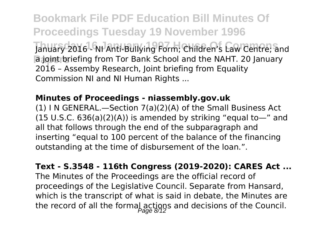**Bookmark File PDF Education Bill Minutes Of Proceedings Tuesday 19 November 1996** January 2016 - NI Anti-Bullying Form; Children's Law Centre; and **a joint briefing from Tor Bank School and the NAHT. 20 January** 2016 – Assemby Research, Joint briefing from Equality Commission NI and NI Human Rights ...

#### **Minutes of Proceedings - niassembly.gov.uk**

(1) I N GENERAL.—Section 7(a)(2)(A) of the Small Business Act  $(15 \text{ U.S.C. } 636(a)(2)(A))$  is amended by striking "equal to—" and all that follows through the end of the subparagraph and inserting "equal to 100 percent of the balance of the financing outstanding at the time of disbursement of the loan.".

**Text - S.3548 - 116th Congress (2019-2020): CARES Act ...** The Minutes of the Proceedings are the official record of proceedings of the Legislative Council. Separate from Hansard, which is the transcript of what is said in debate, the Minutes are the record of all the formal actions and decisions of the Council.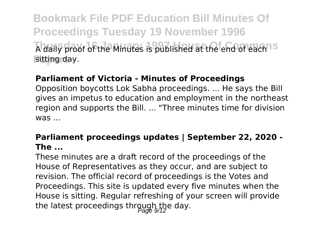**Bookmark File PDF Education Bill Minutes Of Proceedings Tuesday 19 November 1996** A daily proof of the Minutes is published at the end of each<sup>ns</sup> sitting day.

#### **Parliament of Victoria - Minutes of Proceedings**

Opposition boycotts Lok Sabha proceedings. ... He says the Bill gives an impetus to education and employment in the northeast region and supports the Bill. ... "Three minutes time for division  $WAS$ 

#### **Parliament proceedings updates | September 22, 2020 - The ...**

These minutes are a draft record of the proceedings of the House of Representatives as they occur, and are subject to revision. The official record of proceedings is the Votes and Proceedings. This site is updated every five minutes when the House is sitting. Regular refreshing of your screen will provide the latest proceedings through the day.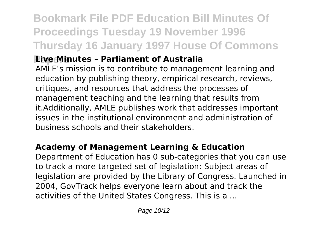## **Bookmark File PDF Education Bill Minutes Of Proceedings Tuesday 19 November 1996 Thursday 16 January 1997 House Of Commons**

### **Pive Minutes - Parliament of Australia**

AMLE's mission is to contribute to management learning and education by publishing theory, empirical research, reviews, critiques, and resources that address the processes of management teaching and the learning that results from it.Additionally, AMLE publishes work that addresses important issues in the institutional environment and administration of business schools and their stakeholders.

### **Academy of Management Learning & Education**

Department of Education has 0 sub-categories that you can use to track a more targeted set of legislation: Subject areas of legislation are provided by the Library of Congress. Launched in 2004, GovTrack helps everyone learn about and track the activities of the United States Congress. This is a ...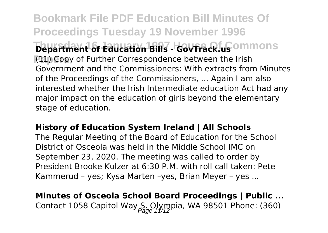**Bookmark File PDF Education Bill Minutes Of Proceedings Tuesday 19 November 1996 Department of Education Bills - GovFrack.us**ommons **Papers** (11) Copy of Further Correspondence between the Irish Government and the Commissioners: With extracts from Minutes of the Proceedings of the Commissioners, ... Again I am also interested whether the Irish Intermediate education Act had any major impact on the education of girls beyond the elementary stage of education.

#### **History of Education System Ireland | All Schools**

The Regular Meeting of the Board of Education for the School District of Osceola was held in the Middle School IMC on September 23, 2020. The meeting was called to order by President Brooke Kulzer at 6:30 P.M. with roll call taken: Pete Kammerud – yes; Kysa Marten –yes, Brian Meyer – yes ...

## **Minutes of Osceola School Board Proceedings | Public ...** Contact 1058 Capitol Way S. Olympia, WA 98501 Phone: (360)